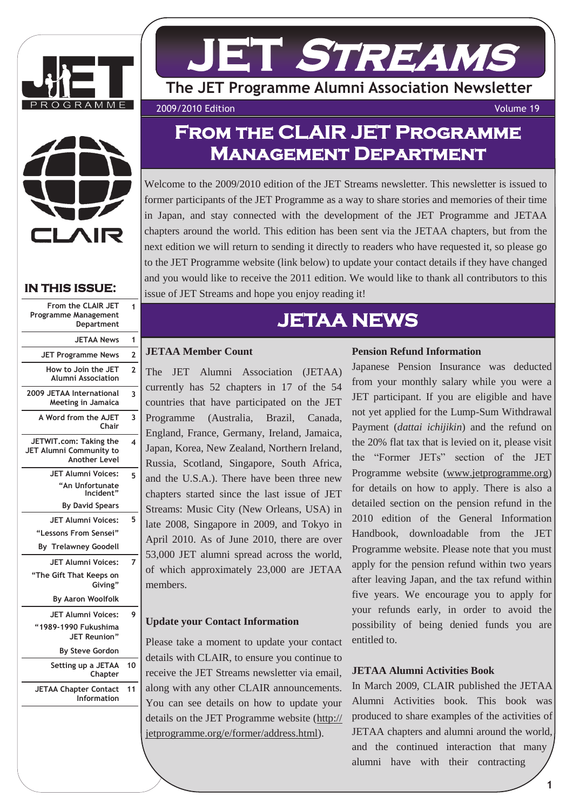



## **IN THIS ISSUE:**

| 1                       | From the CLAIR JET<br><b>Programme Management</b><br>Department           |
|-------------------------|---------------------------------------------------------------------------|
| 1                       | <b>JETAA News</b>                                                         |
| 2                       | <b>JET Programme News</b>                                                 |
| $\overline{2}$          | How to Join the JET<br>Alumni Association                                 |
| 3                       | 2009 JETAA International<br><b>Meeting in Jamaica</b>                     |
| 3                       | A Word from the AJET<br>Chair                                             |
| $\overline{\mathbf{A}}$ | JETWIT.com: Taking the<br>JET Alumni Community to<br><b>Another Level</b> |
| 5                       | JET Alumni Voices:                                                        |
|                         | An Unfortunate <sup>"</sup><br>"Incident                                  |
|                         | <b>By David Spears</b>                                                    |
| 5                       | JET Alumni Voices:                                                        |
|                         | "Lessons From Sensei"                                                     |
|                         | <b>By Trelawney Goodell</b>                                               |
| 7                       | <b>JET Alumni Voices:</b>                                                 |
|                         | "The Gift That Keeps on<br>Giving"                                        |
|                         | By Aaron Woolfolk                                                         |
| 9                       | <b>JET Alumni Voices:</b>                                                 |
|                         | "1989-1990 Fukushima<br>JET Reunion"                                      |
|                         | <b>By Steve Gordon</b>                                                    |
| 10                      | Setting up a JETAA<br>Chapter                                             |
| 11                      | <b>JETAA Chapter Contact</b>                                              |

# **JET Streams**

**The JET Programme Alumni Association Newsletter**

2009/2010 Edition Volume 19

## **From the CLAIR JET Programme Management Department**

Welcome to the 2009/2010 edition of the JET Streams newsletter. This newsletter is issued to former participants of the JET Programme as a way to share stories and memories of their time in Japan, and stay connected with the development of the JET Programme and JETAA chapters around the world. This edition has been sent via the JETAA chapters, but from the next edition we will return to sending it directly to readers who have requested it, so please go to the JET Programme website (link below) to update your contact details if they have changed and you would like to receive the 2011 edition. We would like to thank all contributors to this issue of JET Streams and hope you enjoy reading it!

## **JETAA NEWS**

## **JETAA Member Count**

The JET Alumni Association (JETAA) currently has 52 chapters in 17 of the 54 countries that have participated on the JET Programme (Australia, Brazil, Canada, England, France, Germany, Ireland, Jamaica, Japan, Korea, New Zealand, Northern Ireland, Russia, Scotland, Singapore, South Africa, and the U.S.A.). There have been three new chapters started since the last issue of JET Streams: Music City (New Orleans, USA) in late 2008, Singapore in 2009, and Tokyo in April 2010. As of June 2010, there are over 53,000 JET alumni spread across the world, of which approximately 23,000 are JETAA members.

## **Update your Contact Information**

Please take a moment to update your contact details with CLAIR, to ensure you continue to receive the JET Streams newsletter via email, along with any other CLAIR announcements. You can see details on how to update your details on the JET Programme website [\(http://](http://jetprogramme.org/e/former/address.html) [jetprogramme.org/e/former/address.html\)](http://jetprogramme.org/e/former/address.html).

## **Pension Refund Information**

Japanese Pension Insurance was deducted from your monthly salary while you were a JET participant. If you are eligible and have not yet applied for the Lump-Sum Withdrawal Payment (*dattai ichijikin*) and the refund on the 20% flat tax that is levied on it, please visit the "Former JETs" section of the JET Programme website (www.jetprogramme.org) for details on how to apply. There is also a detailed section on the pension refund in the 2010 edition of the General Information Handbook, downloadable from the JET Programme website. Please note that you must apply for the pension refund within two years after leaving Japan, and the tax refund within five years. We encourage you to apply for your refunds early, in order to avoid the possibility of being denied funds you are entitled to.

## **JETAA Alumni Activities Book**

In March 2009, CLAIR published the JETAA Alumni Activities book. This book was produced to share examples of the activities of JETAA chapters and alumni around the world, and the continued interaction that many alumni have with their contracting

**1**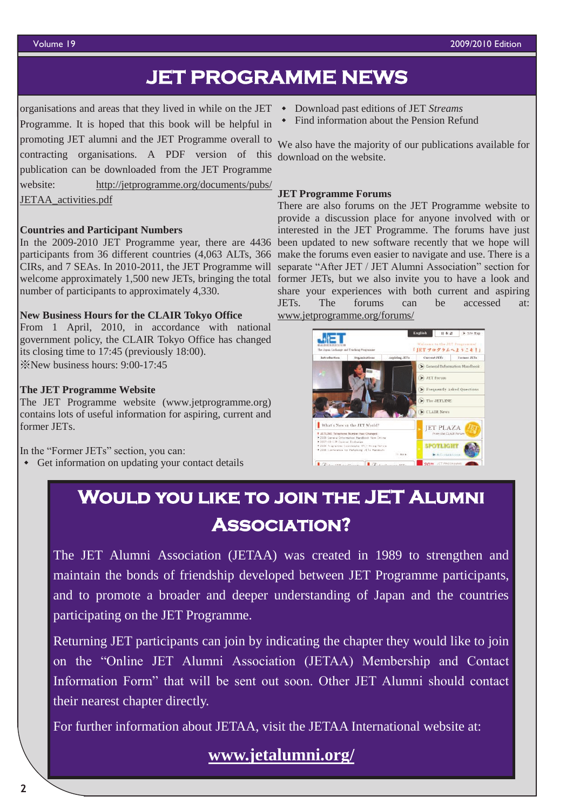## **JET PROGRAMME NEWS**

organisations and areas that they lived in while on the JET Download past editions of JET *Streams* Programme. It is hoped that this book will be helpful in promoting JET alumni and the JET Programme overall to contracting organisations. A PDF version of this download on the website. publication can be downloaded from the JET Programme website: [http://jetprogramme.org/documents/pubs/](http://jetprogramme.org/documents/pubs/JETAA_activities.pdf) [JETAA\\_activities.pdf](http://jetprogramme.org/documents/pubs/JETAA_activities.pdf)

### **Countries and Participant Numbers**

In the 2009-2010 JET Programme year, there are 4436 been updated to new software recently that we hope will participants from 36 different countries (4,063 ALTs, 366 CIRs, and 7 SEAs. In 2010-2011, the JET Programme will separate "After JET / JET Alumni Association" section for welcome approximately 1,500 new JETs, bringing the total former JETs, but we also invite you to have a look and number of participants to approximately 4,330.

#### **New Business Hours for the CLAIR Tokyo Office**

From 1 April, 2010, in accordance with national government policy, the CLAIR Tokyo Office has changed its closing time to 17:45 (previously 18:00). ※New business hours: 9:00-17:45

#### **The JET Programme Website**

The JET Programme website (www.jetprogramme.org) contains lots of useful information for aspiring, current and former JETs.

In the "Former JETs" section, you can:

Get information on updating your contact details

- 
- Find information about the Pension Refund

We also have the majority of our publications available for

#### **JET Programme Forums**

There are also forums on the JET Programme website to provide a discussion place for anyone involved with or interested in the JET Programme. The forums have just make the forums even easier to navigate and use. There is a share your experiences with both current and aspiring JETs. The forums can be accessed at: www.jetprogramme.org/forums/



## **Would you like to join the JET Alumni Association?**

The JET Alumni Association (JETAA) was created in 1989 to strengthen and maintain the bonds of friendship developed between JET Programme participants, and to promote a broader and deeper understanding of Japan and the countries participating on the JET Programme.

Returning JET participants can join by indicating the chapter they would like to join on the "Online JET Alumni Association (JETAA) Membership and Contact Information Form" that will be sent out soon. Other JET Alumni should contact their nearest chapter directly.

For further information about JETAA, visit the JETAA International website at:

## **[www.jetalumni.org/](http://www.jetalumni.org/)**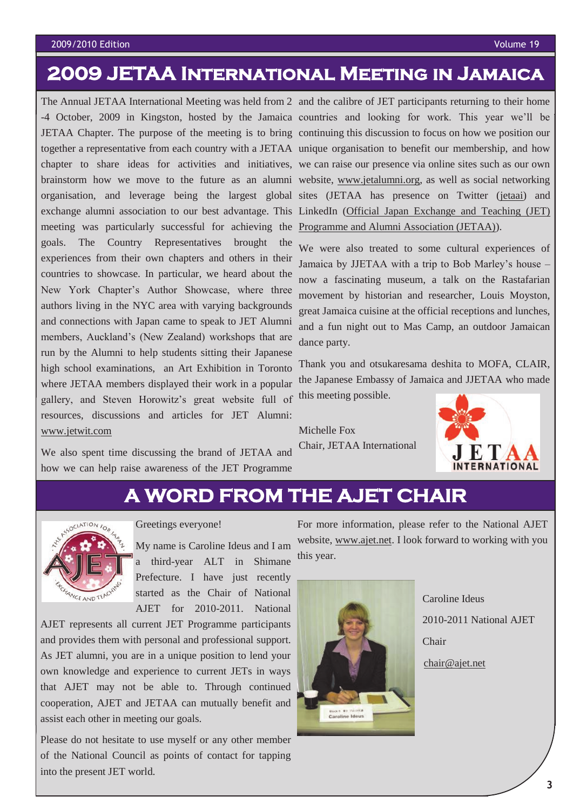#### 2009/2010 Edition Volume 19

## **2009 JETAA International Meeting in Jamaica**

The Annual JETAA International Meeting was held from 2 and the calibre of JET participants returning to their home -4 October, 2009 in Kingston, hosted by the Jamaica countries and looking for work. This year we'll be JETAA Chapter. The purpose of the meeting is to bring continuing this discussion to focus on how we position our together a representative from each country with a JETAA unique organisation to benefit our membership, and how chapter to share ideas for activities and initiatives, we can raise our presence via online sites such as our own brainstorm how we move to the future as an alumni website, [www.jetalumni.org,](http://www.jetalumni.org) as well as social networking organisation, and leverage being the largest global sites (JETAA has presence on Twitter ([jetaai\)](http://twitter.com/jetaai) and exchange alumni association to our best advantage. This LinkedIn (Official Japan Exchange and Teaching (JET) meeting was particularly successful for achieving the **Programme and Alumni Association (JETAA)**). goals. The Country Representatives brought the experiences from their own chapters and others in their countries to showcase. In particular, we heard about the New York Chapter's Author Showcase, where three authors living in the NYC area with varying backgrounds and connections with Japan came to speak to JET Alumni members, Auckland's (New Zealand) workshops that are run by the Alumni to help students sitting their Japanese high school examinations, an Art Exhibition in Toronto where JETAA members displayed their work in a popular gallery, and Steven Horowitz's great website full of resources, discussions and articles for JET Alumni: [www.jetwit.com](http://www.jetwit.com)

We also spent time discussing the brand of JETAA and how we can help raise awareness of the JET Programme

We were also treated to some cultural experiences of Jamaica by JJETAA with a trip to Bob Marley's house – now a fascinating museum, a talk on the Rastafarian movement by historian and researcher, Louis Moyston, great Jamaica cuisine at the official receptions and lunches, and a fun night out to Mas Camp, an outdoor Jamaican dance party.

Thank you and otsukaresama deshita to MOFA, CLAIR, the Japanese Embassy of Jamaica and JJETAA who made this meeting possible.

Michelle Fox Chair, JETAA International



## **A WORD FROM THE AJET CHAIR**



Greetings everyone!

My name is Caroline Ideus and I am a third-year ALT in Shimane Prefecture. I have just recently started as the Chair of National AJET for 2010-2011. National

AJET represents all current JET Programme participants and provides them with personal and professional support. As JET alumni, you are in a unique position to lend your own knowledge and experience to current JETs in ways that AJET may not be able to. Through continued cooperation, AJET and JETAA can mutually benefit and assist each other in meeting our goals.

Please do not hesitate to use myself or any other member of the National Council as points of contact for tapping into the present JET world.

For more information, please refer to the National AJET website, [www.ajet.net.](http://www.ajet.net) I look forward to working with you this year.



 Caroline Ideus 2010-2011 National AJET Chair

[chair@ajet.net](mailto:chair@ajet.net)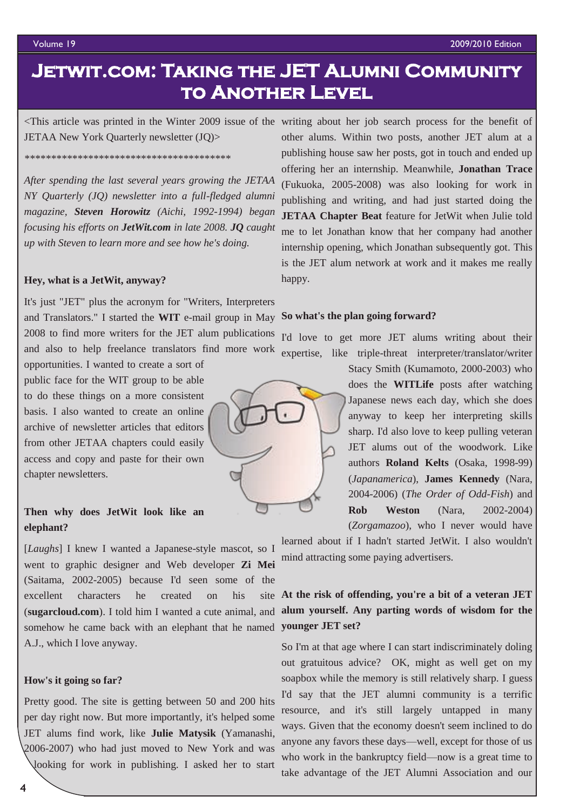## **Jetwit.com: Taking the JET Alumni Community to Another Level**

<This article was printed in the Winter 2009 issue of the writing about her job search process for the benefit of JETAA New York Quarterly newsletter (JQ)>

*\*\*\*\*\*\*\*\*\*\*\*\*\*\*\*\*\*\*\*\*\*\*\*\*\*\*\*\*\*\*\*\*\*\*\*\*\*\*\**

*After spending the last several years growing the JETAA NY Quarterly (JQ) newsletter into a full-fledged alumni magazine, Steven Horowitz (Aichi, 1992-1994) began focusing his efforts on [JetWit.com](http://www.jetwit.com/) in late 2008. JQ caught up with Steven to learn more and see how he's doing.*

#### **Hey, what is a JetWit, anyway?**

It's just "JET" plus the acronym for "Writers, Interpreters and Translators." I started the **WIT** e-mail group in May **So what's the plan going forward?** 2008 to find more writers for the JET alum publications and also to help freelance translators find more work opportunities. I wanted to create a sort of

public face for the WIT group to be able to do these things on a more consistent basis. I also wanted to create an online archive of newsletter articles that editors from other JETAA chapters could easily access and copy and paste for their own chapter newsletters.

## **Then why does JetWit look like an elephant?**

[*Laughs*] I knew I wanted a Japanese-style mascot, so I went to graphic designer and Web developer **Zi Mei** (Saitama, 2002-2005) because I'd seen some of the excellent characters he created on his (**[sugarcloud.com](http://www.sugarcloud.com/)**). I told him I wanted a cute animal, and somehow he came back with an elephant that he named **younger JET set?** A.J., which I love anyway.

#### **How's it going so far?**

Pretty good. The site is getting between 50 and 200 hits per day right now. But more importantly, it's helped some JET alums find work, like **Julie Matysik** (Yamanashi, 2006-2007) who had just moved to New York and was

looking for work in publishing. I asked her to start

other alums. Within two posts, another JET alum at a publishing house saw her posts, got in touch and ended up offering her an internship. Meanwhile, **Jonathan Trace** (Fukuoka, 2005-2008) was also looking for work in publishing and writing, and had just started doing the **JETAA Chapter Beat** feature for JetWit when Julie told me to let Jonathan know that her company had another internship opening, which Jonathan subsequently got. This is the JET alum network at work and it makes me really happy.

I'd love to get more JET alums writing about their expertise, like triple-threat interpreter/translator/writer



Stacy Smith (Kumamoto, 2000-2003) who does the **WITLife** posts after watching Japanese news each day, which she does anyway to keep her interpreting skills sharp. I'd also love to keep pulling veteran JET alums out of the woodwork. Like authors **Roland Kelts** (Osaka, 1998-99) (*Japanamerica*), **James Kennedy** (Nara, 2004-2006) (*The Order of Odd-Fish*) and **Rob Weston** (Nara, 2002-2004)

(*Zorgamazoo*), who I never would have learned about if I hadn't started JetWit. I also wouldn't mind attracting some paying advertisers.

## **At the risk of offending, you're a bit of a veteran JET alum yourself. Any parting words of wisdom for the**

So I'm at that age where I can start indiscriminately doling out gratuitous advice? OK, might as well get on my soapbox while the memory is still relatively sharp. I guess I'd say that the JET alumni community is a terrific resource, and it's still largely untapped in many ways. Given that the economy doesn't seem inclined to do anyone any favors these days—well, except for those of us who work in the bankruptcy field—now is a great time to take advantage of the JET Alumni Association and our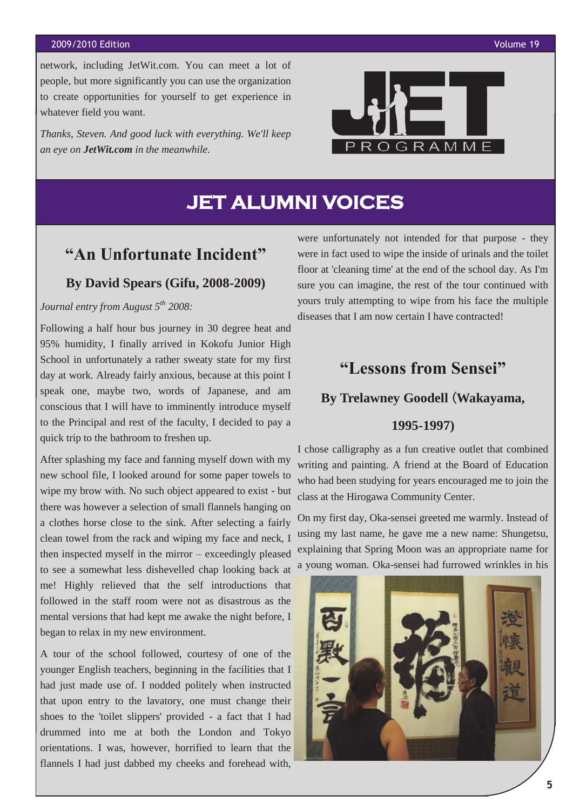#### 2009/2010 Edition Volume 19

network, including JetWit.com. You can meet a lot of people, but more significantly you can use the organization to create opportunities for yourself to get experience in whatever field you want.

*Thanks, Steven. And good luck with everything. We'll keep an eye on [JetWit.com](http://www.jetwit.com/) in the meanwhile.*



**JET ALUMNI VOICES**

## **"An Unfortunate Incident"**

## **By David Spears (Gifu, 2008-2009)**

*Journal entry from August 5th 2008:*

Following a half hour bus journey in 30 degree heat and 95% humidity, I finally arrived in Kokofu Junior High School in unfortunately a rather sweaty state for my first day at work. Already fairly anxious, because at this point I speak one, maybe two, words of Japanese, and am conscious that I will have to imminently introduce myself to the Principal and rest of the faculty, I decided to pay a quick trip to the bathroom to freshen up.

After splashing my face and fanning myself down with my new school file, I looked around for some paper towels to wipe my brow with. No such object appeared to exist - but there was however a selection of small flannels hanging on a clothes horse close to the sink. After selecting a fairly clean towel from the rack and wiping my face and neck, I then inspected myself in the mirror – exceedingly pleased to see a somewhat less dishevelled chap looking back at me! Highly relieved that the self introductions that followed in the staff room were not as disastrous as the mental versions that had kept me awake the night before, I began to relax in my new environment.

A tour of the school followed, courtesy of one of the younger English teachers, beginning in the facilities that I had just made use of. I nodded politely when instructed that upon entry to the lavatory, one must change their shoes to the 'toilet slippers' provided - a fact that I had drummed into me at both the London and Tokyo orientations. I was, however, horrified to learn that the flannels I had just dabbed my cheeks and forehead with,

were unfortunately not intended for that purpose - they were in fact used to wipe the inside of urinals and the toilet floor at 'cleaning time' at the end of the school day. As I'm sure you can imagine, the rest of the tour continued with yours truly attempting to wipe from his face the multiple diseases that I am now certain I have contracted!

## **"Lessons from Sensei"**

## **By Trelawney Goodell** (**Wakayama,**

## **1995-1997)**

I chose calligraphy as a fun creative outlet that combined writing and painting. A friend at the Board of Education who had been studying for years encouraged me to join the class at the Hirogawa Community Center.

On my first day, Oka-sensei greeted me warmly. Instead of using my last name, he gave me a new name: Shungetsu, explaining that Spring Moon was an appropriate name for a young woman. Oka-sensei had furrowed wrinkles in his

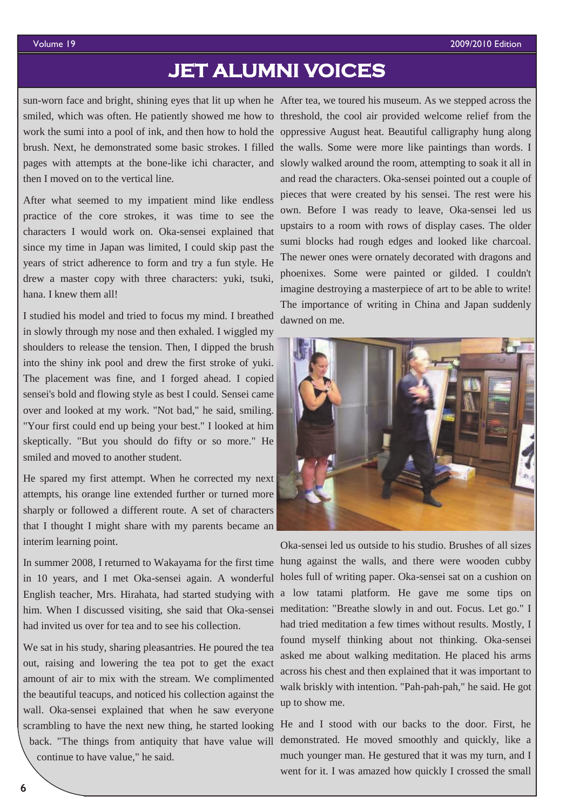## **JET ALUMNI VOICES**

sun-worn face and bright, shining eyes that lit up when he After tea, we toured his museum. As we stepped across the then I moved on to the vertical line.

After what seemed to my impatient mind like endless practice of the core strokes, it was time to see the characters I would work on. Oka-sensei explained that since my time in Japan was limited, I could skip past the years of strict adherence to form and try a fun style. He drew a master copy with three characters: yuki, tsuki, hana. I knew them all!

I studied his model and tried to focus my mind. I breathed in slowly through my nose and then exhaled. I wiggled my shoulders to release the tension. Then, I dipped the brush into the shiny ink pool and drew the first stroke of yuki. The placement was fine, and I forged ahead. I copied sensei's bold and flowing style as best I could. Sensei came over and looked at my work. "Not bad," he said, smiling. "Your first could end up being your best." I looked at him skeptically. "But you should do fifty or so more." He smiled and moved to another student.

He spared my first attempt. When he corrected my next attempts, his orange line extended further or turned more sharply or followed a different route. A set of characters that I thought I might share with my parents became an interim learning point.

In summer 2008, I returned to Wakayama for the first time in 10 years, and I met Oka-sensei again. A wonderful English teacher, Mrs. Hirahata, had started studying with him. When I discussed visiting, she said that Oka-sensei had invited us over for tea and to see his collection.

We sat in his study, sharing pleasantries. He poured the tea out, raising and lowering the tea pot to get the exact amount of air to mix with the stream. We complimented the beautiful teacups, and noticed his collection against the wall. Oka-sensei explained that when he saw everyone scrambling to have the next new thing, he started looking back. "The things from antiquity that have value will continue to have value," he said.

smiled, which was often. He patiently showed me how to threshold, the cool air provided welcome relief from the work the sumi into a pool of ink, and then how to hold the oppressive August heat. Beautiful calligraphy hung along brush. Next, he demonstrated some basic strokes. I filled the walls. Some were more like paintings than words. I pages with attempts at the bone-like ichi character, and slowly walked around the room, attempting to soak it all in and read the characters. Oka-sensei pointed out a couple of pieces that were created by his sensei. The rest were his own. Before I was ready to leave, Oka-sensei led us upstairs to a room with rows of display cases. The older sumi blocks had rough edges and looked like charcoal. The newer ones were ornately decorated with dragons and phoenixes. Some were painted or gilded. I couldn't imagine destroying a masterpiece of art to be able to write! The importance of writing in China and Japan suddenly dawned on me.



Oka-sensei led us outside to his studio. Brushes of all sizes hung against the walls, and there were wooden cubby holes full of writing paper. Oka-sensei sat on a cushion on a low tatami platform. He gave me some tips on meditation: "Breathe slowly in and out. Focus. Let go." I had tried meditation a few times without results. Mostly, I found myself thinking about not thinking. Oka-sensei asked me about walking meditation. He placed his arms across his chest and then explained that it was important to walk briskly with intention. "Pah-pah-pah," he said. He got up to show me.

He and I stood with our backs to the door. First, he demonstrated. He moved smoothly and quickly, like a much younger man. He gestured that it was my turn, and I went for it. I was amazed how quickly I crossed the small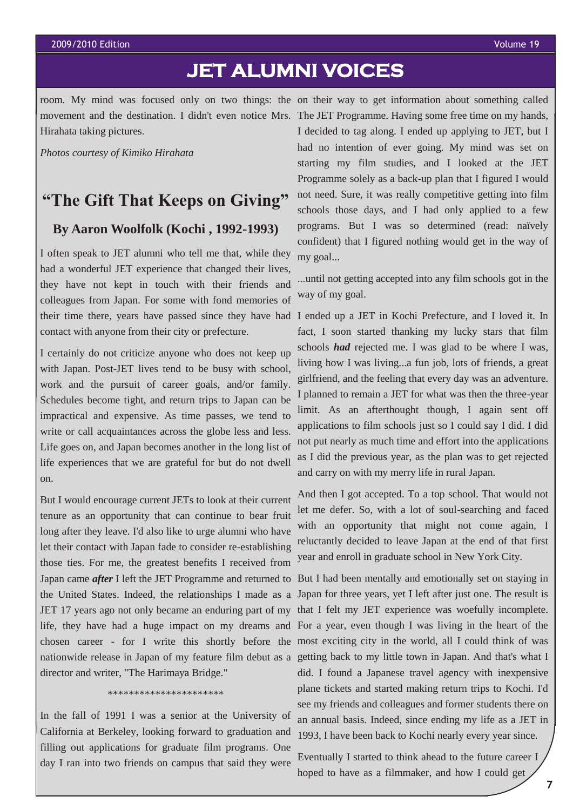#### 2009/2010 Edition Volume 19

## **JET ALUMNI VOICES**

room. My mind was focused only on two things: the on their way to get information about something called Hirahata taking pictures.

*Photos courtesy of Kimiko Hirahata*

## **"The Gift That Keeps on Giving"**

## **By Aaron Woolfolk (Kochi , 1992-1993)**

I often speak to JET alumni who tell me that, while they had a wonderful JET experience that changed their lives, they have not kept in touch with their friends and colleagues from Japan. For some with fond memories of their time there, years have passed since they have had I ended up a JET in Kochi Prefecture, and I loved it. In contact with anyone from their city or prefecture.

I certainly do not criticize anyone who does not keep up with Japan. Post-JET lives tend to be busy with school, work and the pursuit of career goals, and/or family. Schedules become tight, and return trips to Japan can be impractical and expensive. As time passes, we tend to write or call acquaintances across the globe less and less. Life goes on, and Japan becomes another in the long list of life experiences that we are grateful for but do not dwell on.

But I would encourage current JETs to look at their current tenure as an opportunity that can continue to bear fruit long after they leave. I'd also like to urge alumni who have let their contact with Japan fade to consider re-establishing those ties. For me, the greatest benefits I received from Japan came *after* I left the JET Programme and returned to the United States. Indeed, the relationships I made as a JET 17 years ago not only became an enduring part of my life, they have had a huge impact on my dreams and director and writer, "The Harimaya Bridge."

#### \*\*\*\*\*\*\*\*\*\*\*\*\*\*\*\*\*\*\*\*\*\*

In the fall of 1991 I was a senior at the University of California at Berkeley, looking forward to graduation and filling out applications for graduate film programs. One day I ran into two friends on campus that said they were

movement and the destination. I didn't even notice Mrs. The JET Programme. Having some free time on my hands, I decided to tag along. I ended up applying to JET, but I had no intention of ever going. My mind was set on starting my film studies, and I looked at the JET Programme solely as a back-up plan that I figured I would not need. Sure, it was really competitive getting into film schools those days, and I had only applied to a few programs. But I was so determined (read: naïvely confident) that I figured nothing would get in the way of my goal...

> ...until not getting accepted into any film schools got in the way of my goal.

> fact, I soon started thanking my lucky stars that film schools *had* rejected me. I was glad to be where I was, living how I was living...a fun job, lots of friends, a great girlfriend, and the feeling that every day was an adventure. I planned to remain a JET for what was then the three-year limit. As an afterthought though, I again sent off applications to film schools just so I could say I did. I did not put nearly as much time and effort into the applications as I did the previous year, as the plan was to get rejected and carry on with my merry life in rural Japan.

> And then I got accepted. To a top school. That would not let me defer. So, with a lot of soul-searching and faced with an opportunity that might not come again, I reluctantly decided to leave Japan at the end of that first year and enroll in graduate school in New York City.

chosen career - for I write this shortly before the most exciting city in the world, all I could think of was nationwide release in Japan of my feature film debut as a getting back to my little town in Japan. And that's what I But I had been mentally and emotionally set on staying in Japan for three years, yet I left after just one. The result is that I felt my JET experience was woefully incomplete. For a year, even though I was living in the heart of the did. I found a Japanese travel agency with inexpensive plane tickets and started making return trips to Kochi. I'd see my friends and colleagues and former students there on an annual basis. Indeed, since ending my life as a JET in 1993, I have been back to Kochi nearly every year since.

> Eventually I started to think ahead to the future career I hoped to have as a filmmaker, and how I could get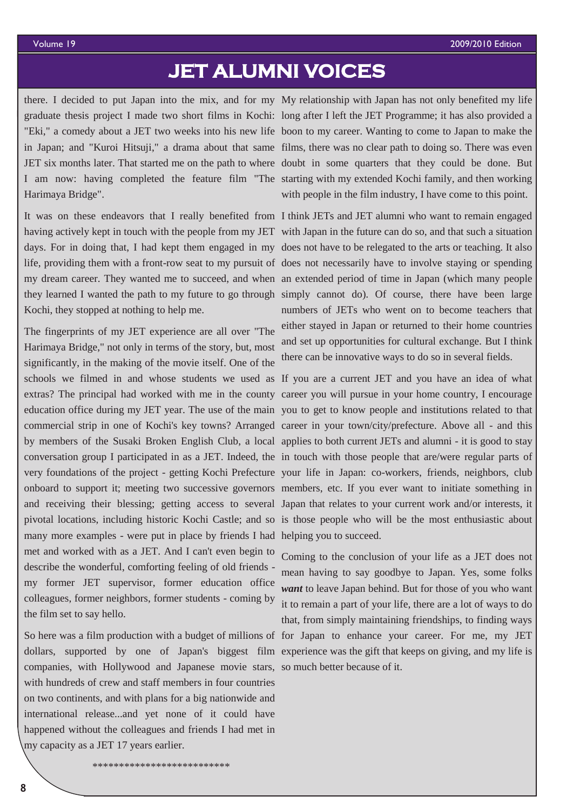## **JET ALUMNI VOICES**

there. I decided to put Japan into the mix, and for my My relationship with Japan has not only benefited my life graduate thesis project I made two short films in Kochi: long after I left the JET Programme; it has also provided a "Eki," a comedy about a JET two weeks into his new life boon to my career. Wanting to come to Japan to make the in Japan; and "Kuroi Hitsuji," a drama about that same films, there was no clear path to doing so. There was even JET six months later. That started me on the path to where doubt in some quarters that they could be done. But I am now: having completed the feature film "The starting with my extended Kochi family, and then working Harimaya Bridge".

It was on these endeavors that I really benefited from I think JETs and JET alumni who want to remain engaged having actively kept in touch with the people from my JET with Japan in the future can do so, and that such a situation days. For in doing that, I had kept them engaged in my does not have to be relegated to the arts or teaching. It also life, providing them with a front-row seat to my pursuit of does not necessarily have to involve staying or spending my dream career. They wanted me to succeed, and when an extended period of time in Japan (which many people they learned I wanted the path to my future to go through simply cannot do). Of course, there have been large Kochi, they stopped at nothing to help me.

The fingerprints of my JET experience are all over "The Harimaya Bridge," not only in terms of the story, but, most significantly, in the making of the movie itself. One of the schools we filmed in and whose students we used as If you are a current JET and you have an idea of what extras? The principal had worked with me in the county career you will pursue in your home country, I encourage education office during my JET year. The use of the main you to get to know people and institutions related to that commercial strip in one of Kochi's key towns? Arranged career in your town/city/prefecture. Above all - and this by members of the Susaki Broken English Club, a local applies to both current JETs and alumni - it is good to stay conversation group I participated in as a JET. Indeed, the in touch with those people that are/were regular parts of very foundations of the project - getting Kochi Prefecture your life in Japan: co-workers, friends, neighbors, club onboard to support it; meeting two successive governors members, etc. If you ever want to initiate something in and receiving their blessing; getting access to several Japan that relates to your current work and/or interests, it pivotal locations, including historic Kochi Castle; and so is those people who will be the most enthusiastic about many more examples - were put in place by friends I had helping you to succeed. met and worked with as a JET. And I can't even begin to describe the wonderful, comforting feeling of old friends my former JET supervisor, former education office colleagues, former neighbors, former students - coming by the film set to say hello.

dollars, supported by one of Japan's biggest film experience was the gift that keeps on giving, and my life is companies, with Hollywood and Japanese movie stars, so much better because of it. with hundreds of crew and staff members in four countries on two continents, and with plans for a big nationwide and international release...and yet none of it could have happened without the colleagues and friends I had met in my capacity as a JET 17 years earlier.

with people in the film industry, I have come to this point.

numbers of JETs who went on to become teachers that either stayed in Japan or returned to their home countries and set up opportunities for cultural exchange. But I think there can be innovative ways to do so in several fields.

So here was a film production with a budget of millions of for Japan to enhance your career. For me, my JET Coming to the conclusion of your life as a JET does not mean having to say goodbye to Japan. Yes, some folks *want* to leave Japan behind. But for those of you who want it to remain a part of your life, there are a lot of ways to do that, from simply maintaining friendships, to finding ways

\*\*\*\*\*\*\*\*\*\*\*\*\*\*\*\*\*\*\*\*\*\*\*\*\*\*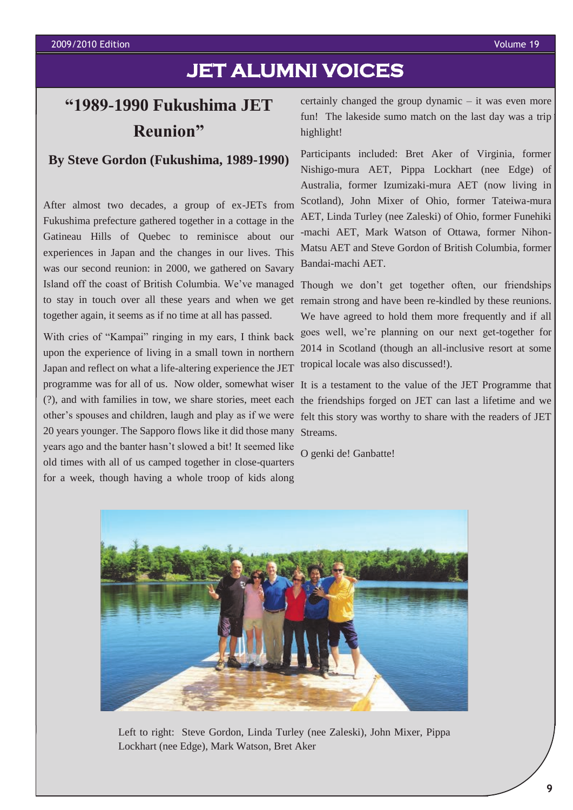## **JET ALUMNI VOICES**

## **"1989-1990 Fukushima JET Reunion"**

## **By Steve Gordon (Fukushima, 1989-1990)**

After almost two decades, a group of ex-JETs from Fukushima prefecture gathered together in a cottage in the Gatineau Hills of Quebec to reminisce about our experiences in Japan and the changes in our lives. This was our second reunion: in 2000, we gathered on Savary Island off the coast of British Columbia. We've managed Though we don't get together often, our friendships together again, it seems as if no time at all has passed.

With cries of "Kampai" ringing in my ears, I think back upon the experience of living in a small town in northern Japan and reflect on what a life-altering experience the JET programme was for all of us. Now older, somewhat wiser It is a testament to the value of the JET Programme that (?), and with families in tow, we share stories, meet each other's spouses and children, laugh and play as if we were felt this story was worthy to share with the readers of JET 20 years younger. The Sapporo flows like it did those many Streams. years ago and the banter hasn't slowed a bit! It seemed like old times with all of us camped together in close-quarters for a week, though having a whole troop of kids along

certainly changed the group dynamic – it was even more fun! The lakeside sumo match on the last day was a trip highlight!

Participants included: Bret Aker of Virginia, former Nishigo-mura AET, Pippa Lockhart (nee Edge) of Australia, former Izumizaki-mura AET (now living in Scotland), John Mixer of Ohio, former Tateiwa-mura AET, Linda Turley (nee Zaleski) of Ohio, former Funehiki -machi AET, Mark Watson of Ottawa, former Nihon-Matsu AET and Steve Gordon of British Columbia, former Bandai-machi AET.

to stay in touch over all these years and when we get remain strong and have been re-kindled by these reunions. We have agreed to hold them more frequently and if all goes well, we're planning on our next get-together for 2014 in Scotland (though an all-inclusive resort at some tropical locale was also discussed!).

the friendships forged on JET can last a lifetime and we

O genki de! Ganbatte!



Left to right: Steve Gordon, Linda Turley (nee Zaleski), John Mixer, Pippa Lockhart (nee Edge), Mark Watson, Bret Aker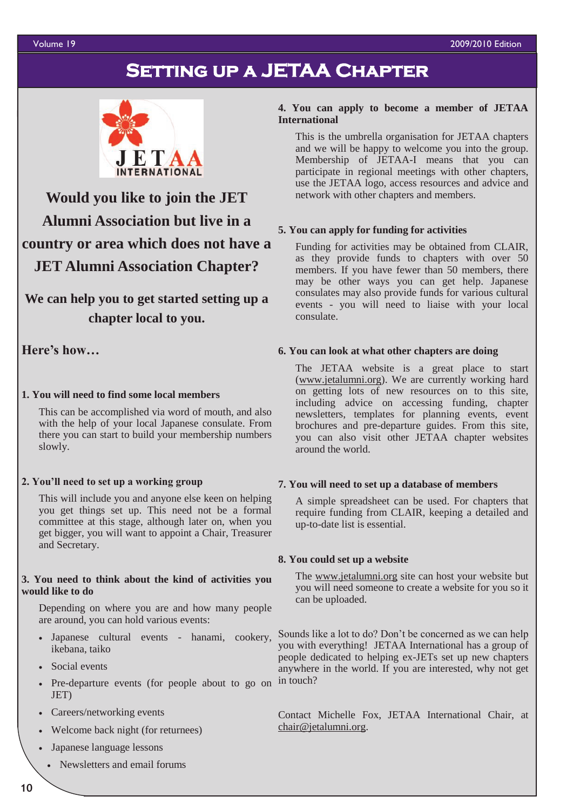#### Volume 19 2009/2010 Edition

## **Setting up a JETAA Chapter**



**Would you like to join the JET Alumni Association but live in a country or area which does not have a JET Alumni Association Chapter?**

**We can help you to get started setting up a chapter local to you.**

**Here's how…**

## **1. You will need to find some local members**

This can be accomplished via word of mouth, and also with the help of your local Japanese consulate. From there you can start to build your membership numbers slowly.

## **2. You'll need to set up a working group**

This will include you and anyone else keen on helping you get things set up. This need not be a formal committee at this stage, although later on, when you get bigger, you will want to appoint a Chair, Treasurer and Secretary.

### **3. You need to think about the kind of activities you would like to do**

Depending on where you are and how many people are around, you can hold various events:

- Japanese cultural events hanami, cookery, ikebana, taiko
- Social events
- Pre-departure events (for people about to go on in touch? JET)
- Careers/networking events
- Welcome back night (for returnees)
- Japanese language lessons
- Newsletters and email forums

## **4. You can apply to become a member of JETAA International**

This is the umbrella organisation for JETAA chapters and we will be happy to welcome you into the group. Membership of JETAA-I means that you can participate in regional meetings with other chapters, use the JETAA logo, access resources and advice and network with other chapters and members.

## **5. You can apply for funding for activities**

Funding for activities may be obtained from CLAIR, as they provide funds to chapters with over 50 members. If you have fewer than 50 members, there may be other ways you can get help. Japanese consulates may also provide funds for various cultural events - you will need to liaise with your local consulate.

## **6. You can look at what other chapters are doing**

The JETAA website is a great place to start ([www.jetalumni.org\)](http://www.jetalumni.org/). We are currently working hard on getting lots of new resources on to this site, including advice on accessing funding, chapter newsletters, templates for planning events, event brochures and pre-departure guides. From this site, you can also visit other JETAA chapter websites around the world.

#### **7. You will need to set up a database of members**

A simple spreadsheet can be used. For chapters that require funding from CLAIR, keeping a detailed and up-to-date list is essential.

#### **8. You could set up a website**

The [www.jetalumni.org](http://www.jetalumni.org/) site can host your website but you will need someone to create a website for you so it can be uploaded.

Sounds like a lot to do? Don't be concerned as we can help you with everything! JETAA International has a group of people dedicated to helping ex-JETs set up new chapters anywhere in the world. If you are interested, why not get

Contact Michelle Fox, JETAA International Chair, at [chair@jetalumni.org.](mailto:jetaai.chair@googlemail.com)

<sup>1</sup>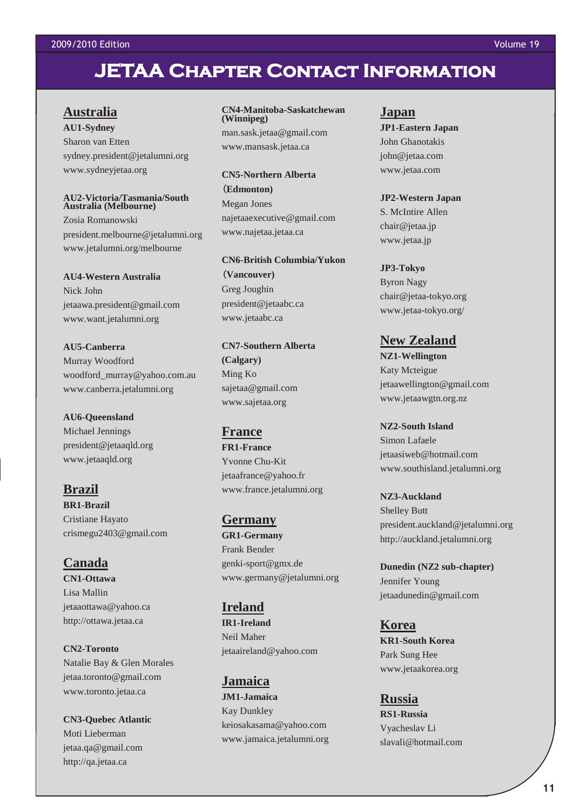## **JETAA Chapter Contact Information**

## **Australia**

**AU1-Sydney** Sharon van Etten sydney.president@jetalumni.org www.sydneyjetaa.org

#### **AU2-Victoria/Tasmania/South Australia (Melbourne)**

Zosia Romanowski president.melbourne@jetalumni.org www.jetalumni.org/melbourne

**AU4-Western Australia** Nick John jetaawa.president@gmail.com www.want.jetalumni.org

**AU5-Canberra** Murray Woodford woodford\_murray@yahoo.com.au www.canberra.jetalumni.org

**AU6-Queensland** Michael Jennings president@jetaaqld.org www.jetaaqld.org

**Brazil BR1-Brazil** Cristiane Hayato crismegu2403@gmail.com

**Canada CN1-Ottawa** Lisa Mallin jetaaottawa@yahoo.ca http://ottawa.jetaa.ca

**CN2-Toronto** Natalie Bay & Glen Morales jetaa.toronto@gmail.com www.toronto.jetaa.ca

**CN3-Quebec Atlantic** Moti Lieberman jetaa.qa@gmail.com http://qa.jetaa.ca

**CN4-Manitoba-Saskatchewan (Winnipeg)** man.sask.jetaa@gmail.com

**CN5-Northern Alberta**  (**Edmonton)** Megan Jones najetaaexecutive@gmail.com www.najetaa.jetaa.ca

www.mansask.jetaa.ca

**CN6-British Columbia/Yukon**  (**Vancouver)** Greg Joughin president@jetaabc.ca www.jetaabc.ca

**CN7-Southern Alberta (Calgary)** Ming Ko sajetaa@gmail.com www.sajetaa.org

### **France**

**FR1-France** Yvonne Chu-Kit jetaafrance@yahoo.fr www.france.jetalumni.org

**Germany GR1-Germany** Frank Bender genki-sport@gmx.de www.germany@jetalumni.org

**Ireland IR1-Ireland** Neil Maher jetaaireland@yahoo.com

**Jamaica JM1-Jamaica** Kay Dunkley keiosakasama@yahoo.com www.jamaica.jetalumni.org

## **Japan**

**JP1-Eastern Japan** John Ghanotakis john@jetaa.com www.jetaa.com

**JP2-Western Japan** S. McIntire Allen chair@jetaa.jp www.jetaa.jp

#### **JP3-Tokyo**

Byron Nagy chair@jetaa-tokyo.org www.jetaa-tokyo.org/

**New Zealand NZ1-Wellington** Katy Mcteigue jetaawellington@gmail.com

www.jetaawgtn.org.nz

**NZ2-South Island** Simon Lafaele jetaasiweb@hotmail.com www.southisland.jetalumni.org

**NZ3-Auckland** Shelley Butt president.auckland@jetalumni.org http://auckland.jetalumni.org

**Dunedin (NZ2 sub-chapter)** Jennifer Young jetaadunedin@gmail.com

**Korea KR1-South Korea** Park Sung Hee www.jetaakorea.org

**Russia RS1-Russia** Vyacheslav Li slavali@hotmail.com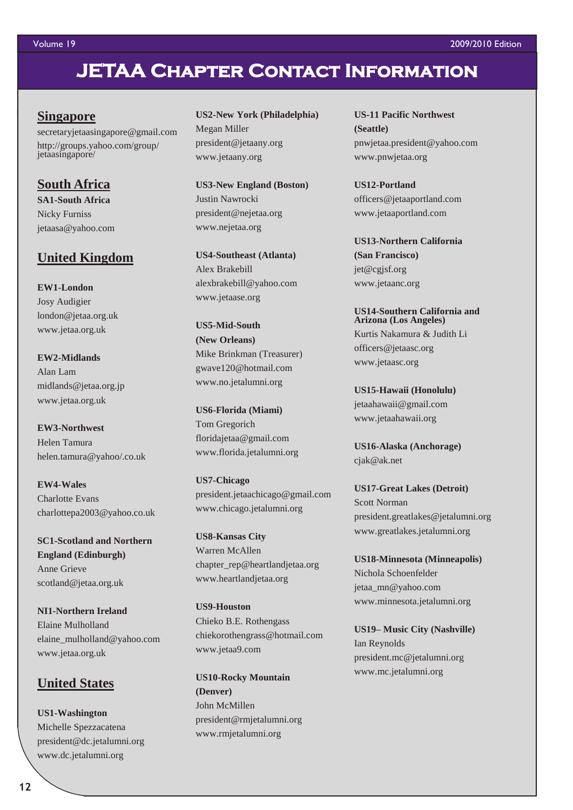## **JETAA Chapter Contact Information**

## **Singapore**

secretaryjetaasingapore@gmail.com http://groups.yahoo.com/group/ jetaasingapore/

## **South Africa**

**SA1-South Africa** Nicky Furniss jetaasa@yahoo.com

## **United Kingdom**

**EW1-London** Josy Audigier london@jetaa.org.uk www.jetaa.org.uk

**EW2-Midlands** Alan Lam midlands@jetaa.org.jp www.jetaa.org.uk

**EW3-Northwest** Helen Tamura helen.tamura@yahoo/.co.uk

**EW4-Wales** Charlotte Evans charlottepa2003@yahoo.co.uk

**SC1-Scotland and Northern England (Edinburgh)** Anne Grieve scotland@jetaa.org.uk

**NI1-Northern Ireland** Elaine Mulholland elaine\_mulholland@yahoo.com www.jetaa.org.uk

## **United States**

**US1-Washington** Michelle Spezzacatena president@dc.jetalumni.org www.dc.jetalumni.org

**US2-New York (Philadelphia)** Megan Miller president@jetaany.org www.jetaany.org

**US3-New England (Boston)** Justin Nawrocki president@nejetaa.org www.nejetaa.org

**US4-Southeast (Atlanta)** Alex Brakebill alexbrakebill@yahoo.com www.jetaase.org

**US5-Mid-South (New Orleans)** Mike Brinkman (Treasurer) gwave120@hotmail.com www.no.jetalumni.org

**US6-Florida (Miami)** Tom Gregorich floridajetaa@gmail.com www.florida.jetalumni.org

**US7-Chicago** president.jetaachicago@gmail.com www.chicago.jetalumni.org

**US8-Kansas City** Warren McAllen chapter\_rep@heartlandjetaa.org www.heartlandjetaa.org

**US9-Houston** Chieko B.E. Rothengass chiekorothengrass@hotmail.com www.jetaa9.com

**US10-Rocky Mountain (Denver)** John McMillen president@rmjetalumni.org www.rmjetalumni.org

**US-11 Pacific Northwest (Seattle)** pnwjetaa.president@yahoo.com www.pnwjetaa.org

**US12-Portland** officers@jetaaportland.com www.jetaaportland.com

**US13-Northern California (San Francisco)** jet@cgjsf.org www.jetaanc.org

**US14-Southern California and Arizona (Los Angeles)** Kurtis Nakamura & Judith Li officers@jetaasc.org www.jetaasc.org

**US15-Hawaii (Honolulu)** jetaahawaii@gmail.com www.jetaahawaii.org

**US16-Alaska (Anchorage)** cjak@ak.net

**US17-Great Lakes (Detroit)** Scott Norman president.greatlakes@jetalumni.org www.greatlakes.jetalumni.org

**US18-Minnesota (Minneapolis)** Nichola Schoenfelder jetaa\_mn@yahoo.com www.minnesota.jetalumni.org

**US19– Music City (Nashville)** Ian Reynolds president.mc@jetalumni.org www.mc.jetalumni.org